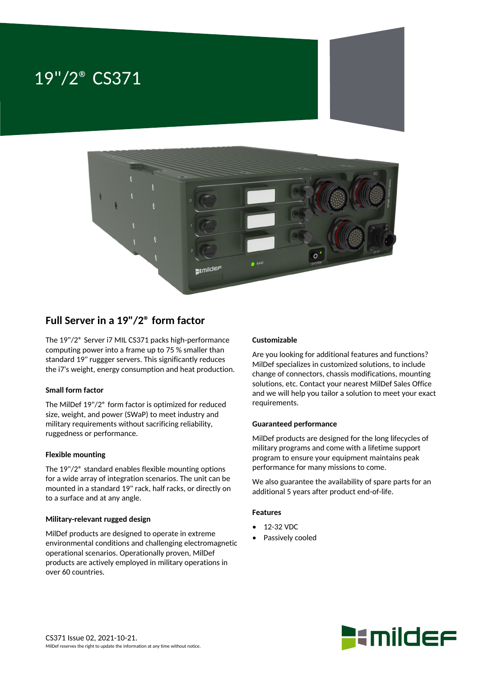# 19"/2® CS371





# **Full Server in a 19"/2® form factor**

The 19"/2® Server i7 MIL CS371 packs high-performance computing power into a frame up to 75 % smaller than standard 19" ruggger servers. This significantly reduces the i7's weight, energy consumption and heat production.

## **Small form factor**

The MilDef 19"/2® form factor is optimized for reduced size, weight, and power (SWaP) to meet industry and military requirements without sacrificing reliability, ruggedness or performance.

#### **Flexible mounting**

The 19"/2® standard enables flexible mounting options for a wide array of integration scenarios. The unit can be mounted in a standard 19" rack, half racks, or directly on to a surface and at any angle.

#### **Military-relevant rugged design**

MilDef products are designed to operate in extreme environmental conditions and challenging electromagnetic operational scenarios. Operationally proven, MilDef products are actively employed in military operations in over 60 countries.

### **Customizable**

Are you looking for additional features and functions? MilDef specializes in customized solutions, to include change of connectors, chassis modifications, mounting solutions, etc. Contact your nearest MilDef Sales Office and we will help you tailor a solution to meet your exact requirements.

#### **Guaranteed performance**

MilDef products are designed for the long lifecycles of military programs and come with a lifetime support program to ensure your equipment maintains peak performance for many missions to come.

We also guarantee the availability of spare parts for an additional 5 years after product end-of-life.

#### **Features**

- 12-32 VDC
- Passively cooled

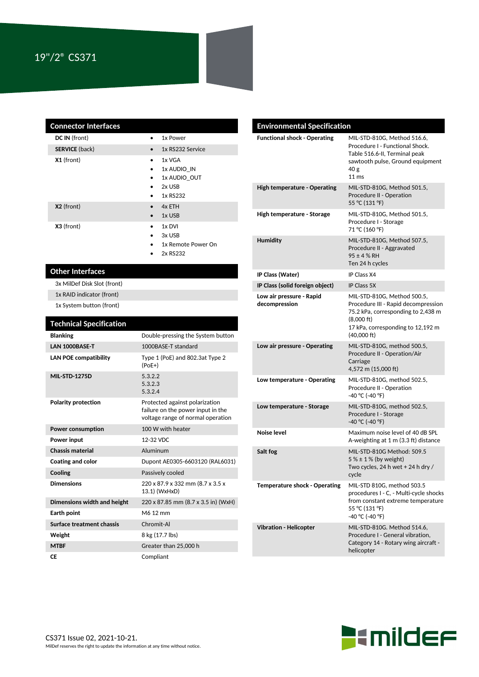| <b>Connector Interfaces</b> |                                                                                                              |
|-----------------------------|--------------------------------------------------------------------------------------------------------------|
| DC IN (front)               | 1x Power                                                                                                     |
| <b>SERVICE</b> (back)       | 1x RS232 Service<br>$\bullet$                                                                                |
| X1 (front)                  | 1x VGA<br>$\bullet$<br>1x AUDIO IN<br>٠<br>1x AUDIO OUT<br>٠<br>2x USB<br>$\bullet$<br>1x RS232<br>$\bullet$ |
| X2 (front)                  | 4x ETH<br>$\bullet$<br>1x USB<br>$\bullet$                                                                   |
| X3 (front)                  | 1x DVI<br>$\bullet$<br>3x USB<br>$\bullet$<br>1x Remote Power On<br>$\bullet$<br>2x RS232                    |

# **Other Interfaces**

3x MilDef Disk Slot (front)

1x RAID indicator (front)

1x System button (front)

| <b>Technical Specification</b> |                                                                                                          |
|--------------------------------|----------------------------------------------------------------------------------------------------------|
| <b>Blanking</b>                | Double-pressing the System button                                                                        |
| LAN 1000BASE-T                 | 1000BASE-T standard                                                                                      |
| <b>LAN POE compatibility</b>   | Type 1 (PoE) and 802.3at Type 2<br>$(PoE+)$                                                              |
| <b>MIL-STD-1275D</b>           | 5.3.2.2<br>5.3.2.3<br>5.3.2.4                                                                            |
| <b>Polarity protection</b>     | Protected against polarization<br>failure on the power input in the<br>voltage range of normal operation |
| <b>Power consumption</b>       | 100 W with heater                                                                                        |
| Power input                    | 12-32 VDC                                                                                                |
| Chassis material               | Aluminum                                                                                                 |
| <b>Coating and color</b>       | Dupont AE0305-6603120 (RAL6031)                                                                          |
| Cooling                        | Passively cooled                                                                                         |
| <b>Dimensions</b>              | 220 x 87.9 x 332 mm (8.7 x 3.5 x<br>13.1) (WxHxD)                                                        |
| Dimensions width and height    | 220 x 87.85 mm (8.7 x 3.5 in) (WxH)                                                                      |
| Earth point                    | M6 12 mm                                                                                                 |
| Surface treatment chassis      | Chromit-Al                                                                                               |
| Weight                         | 8 kg (17.7 lbs)                                                                                          |
| <b>MTBF</b>                    | Greater than 25,000 h                                                                                    |
| СE                             | Compliant                                                                                                |

| <b>Environmental Specification</b>        |                                                                                                                                                                                                |
|-------------------------------------------|------------------------------------------------------------------------------------------------------------------------------------------------------------------------------------------------|
| <b>Functional shock - Operating</b>       | MIL-STD-810G. Method 516.6.<br>Procedure I - Functional Shock.<br>Table 516.6-II, Terminal peak<br>sawtooth pulse, Ground equipment<br>40 g<br>11 <sub>ms</sub>                                |
| <b>High temperature - Operating</b>       | MIL-STD-810G, Method 501.5,<br>Procedure II - Operation<br>55 °C (131 °F)                                                                                                                      |
| High temperature - Storage                | MIL-STD-810G, Method 501.5,<br>Procedure I - Storage<br>71 °C (160 °F)                                                                                                                         |
| <b>Humidity</b>                           | MIL-STD-810G, Method 507.5,<br>Procedure II - Aggravated<br>$95 \pm 4$ % RH<br>Ten 24 h cycles                                                                                                 |
| IP Class (Water)                          | IP Class X4                                                                                                                                                                                    |
| IP Class (solid foreign object)           | IP Class 5X                                                                                                                                                                                    |
| Low air pressure - Rapid<br>decompression | MIL-STD-810G, Method 500.5,<br>Procedure III - Rapid decompression<br>75.2 kPa, corresponding to 2,438 m<br>$(8,000 \text{ ft})$<br>17 kPa, corresponding to 12,192 m<br>$(40,000 \text{ ft})$ |
| Low air pressure - Operating              | MIL-STD-810G, method 500.5,<br>Procedure II - Operation/Air<br>Carriage<br>4,572 m (15,000 ft)                                                                                                 |
| Low temperature - Operating               | MIL-STD-810G, method 502.5,<br>Procedure II - Operation<br>-40 °C (-40 °F)                                                                                                                     |
| Low temperature - Storage                 | MIL-STD-810G, method 502.5,<br>Procedure I - Storage<br>-40 °C (-40 °F)                                                                                                                        |
| Noise level                               | Maximum noise level of 40 dB SPL<br>A-weighting at 1 m (3.3 ft) distance                                                                                                                       |
| Salt fog                                  | MIL-STD-810G Method: 509.5<br>$5% \pm 1%$ (by weight)<br>Two cycles, 24 h wet + 24 h dry /<br>cycle                                                                                            |
| <b>Temperature shock - Operating</b>      | MIL-STD 810G, method 503.5<br>procedures I - C, - Multi-cycle shocks<br>from constant extreme temperature<br>55 °C (131 °F)<br>-40 °C (-40 °F)                                                 |
| <b>Vibration - Helicopter</b>             | MIL-STD-810G. Method 514.6,<br>Procedure I - General vibration,<br>Category 14 - Rotary wing aircraft -<br>helicopter                                                                          |